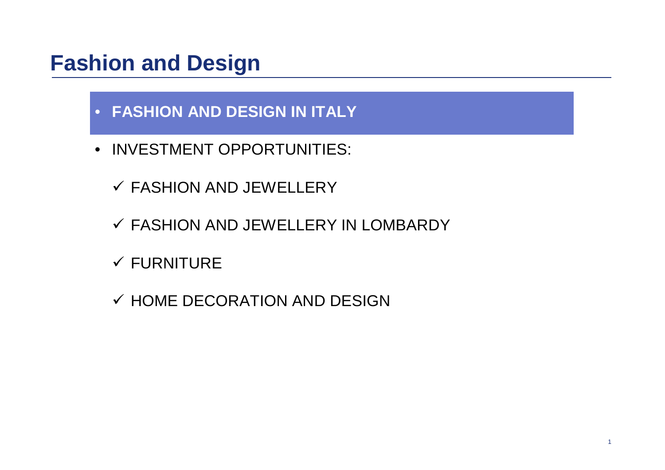- **FASHION AND DESIGN IN ITALY**
- INVESTMENT OPPORTUNITIES:
	- FASHION AND JEWELLERY
	- FASHION AND JEWELLERY IN LOMBARDY
	- $\checkmark$  FURNITURE
	- $\checkmark$  HOME DECORATION AND DESIGN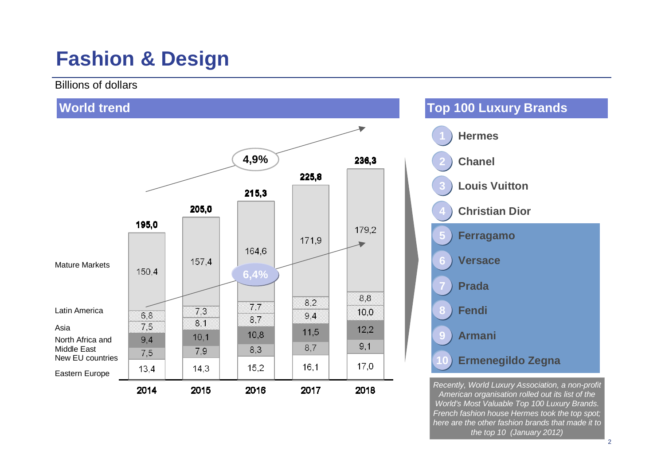### **Fashion & Design**

Billions of dollars



*American organisation rolled out its list of the World's Most Valuable Top 100 Luxury Brands. French fashion house Hermes took the top spot; here are the other fashion brands that made it to the top 10 (January 2012)*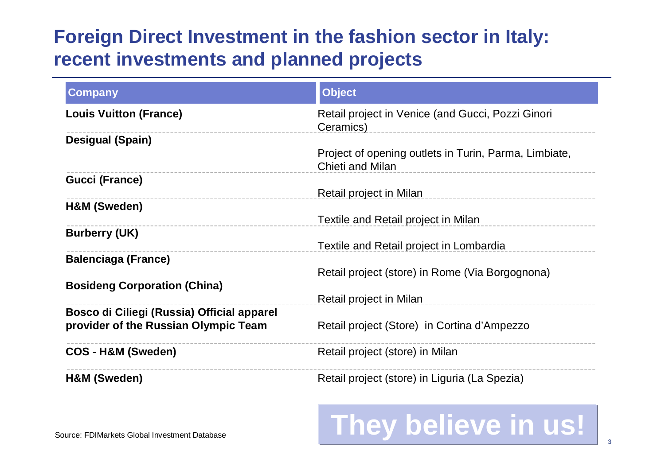### **Foreign Direct Investment in the fashion sector in Italy: recent investments and planned projects**

| <b>Company</b>                             | <b>Object</b>                                                                    |
|--------------------------------------------|----------------------------------------------------------------------------------|
| <b>Louis Vuitton (France)</b>              | Retail project in Venice (and Gucci, Pozzi Ginori<br>Ceramics)                   |
| <b>Desigual (Spain)</b>                    |                                                                                  |
|                                            | Project of opening outlets in Turin, Parma, Limbiate,<br><b>Chieti and Milan</b> |
| <b>Gucci (France)</b>                      |                                                                                  |
|                                            | Retail project in Milan                                                          |
| H&M (Sweden)                               |                                                                                  |
|                                            | Textile and Retail project in Milan                                              |
| <b>Burberry (UK)</b>                       |                                                                                  |
|                                            | Textile and Retail project in Lombardia                                          |
| <b>Balenciaga (France)</b>                 |                                                                                  |
|                                            | Retail project (store) in Rome (Via Borgognona)                                  |
| <b>Bosideng Corporation (China)</b>        |                                                                                  |
|                                            | Retail project in Milan                                                          |
| Bosco di Ciliegi (Russia) Official apparel |                                                                                  |
| provider of the Russian Olympic Team       | Retail project (Store) in Cortina d'Ampezzo                                      |
|                                            |                                                                                  |
| <b>COS-H&amp;M (Sweden)</b>                | Retail project (store) in Milan                                                  |
| H&M (Sweden)                               | Retail project (store) in Liguria (La Spezia)                                    |

# **They believe in us!**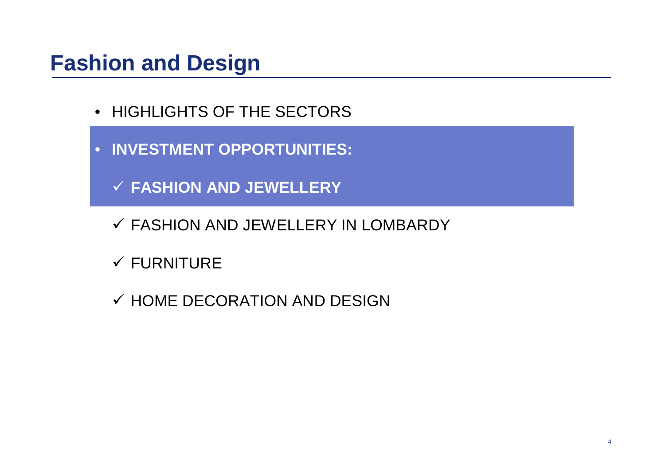- HIGHLIGHTS OF THE SECTORS
- **INVESTMENT OPPORTUNITIES:**
	- **FASHION AND JEWELLERY**
	- FASHION AND JEWELLERY IN LOMBARDY
	- $\checkmark$  FURNITURE
	- $\checkmark$  HOME DECORATION AND DESIGN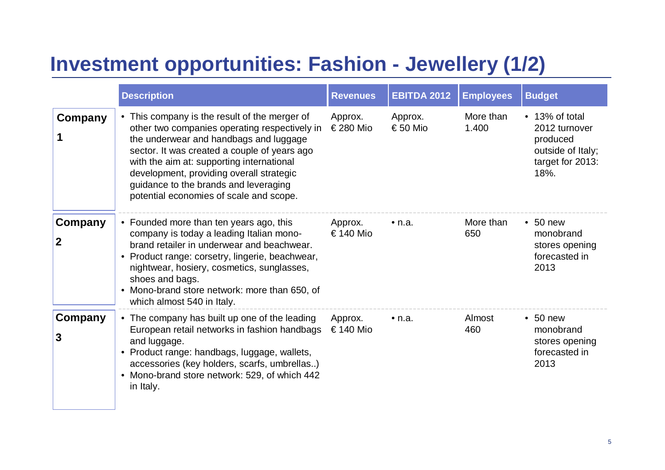### **Investment opportunities: Fashion - Jewellery (1/2)**

|              | <b>Description</b>                                                                                                                                                                                                                                                                                                                                                    | <b>Revenues</b>      | <b>EBITDA 2012</b>  | <b>Employees</b>   | <b>Budget</b>                                                                                |
|--------------|-----------------------------------------------------------------------------------------------------------------------------------------------------------------------------------------------------------------------------------------------------------------------------------------------------------------------------------------------------------------------|----------------------|---------------------|--------------------|----------------------------------------------------------------------------------------------|
| Company      | • This company is the result of the merger of<br>other two companies operating respectively in<br>the underwear and handbags and luggage<br>sector. It was created a couple of years ago<br>with the aim at: supporting international<br>development, providing overall strategic<br>guidance to the brands and leveraging<br>potential economies of scale and scope. | Approx.<br>€280 Mio  | Approx.<br>€ 50 Mio | More than<br>1.400 | • 13% of total<br>2012 turnover<br>produced<br>outside of Italy;<br>target for 2013:<br>18%. |
| Company<br>2 | • Founded more than ten years ago, this<br>company is today a leading Italian mono-<br>brand retailer in underwear and beachwear.<br>• Product range: corsetry, lingerie, beachwear,<br>nightwear, hosiery, cosmetics, sunglasses,<br>shoes and bags.<br>• Mono-brand store network: more than 650, of<br>which almost 540 in Italy.                                  | Approx.<br>€ 140 Mio | $\bullet$ n.a.      | More than<br>650   | $\cdot$ 50 new<br>monobrand<br>stores opening<br>forecasted in<br>2013                       |
| Company<br>3 | • The company has built up one of the leading<br>European retail networks in fashion handbags<br>and luggage.<br>• Product range: handbags, luggage, wallets,<br>accessories (key holders, scarfs, umbrellas)<br>• Mono-brand store network: 529, of which 442<br>in Italy.                                                                                           | Approx.<br>€ 140 Mio | $\bullet$ n.a.      | Almost<br>460      | $\cdot$ 50 new<br>monobrand<br>stores opening<br>forecasted in<br>2013                       |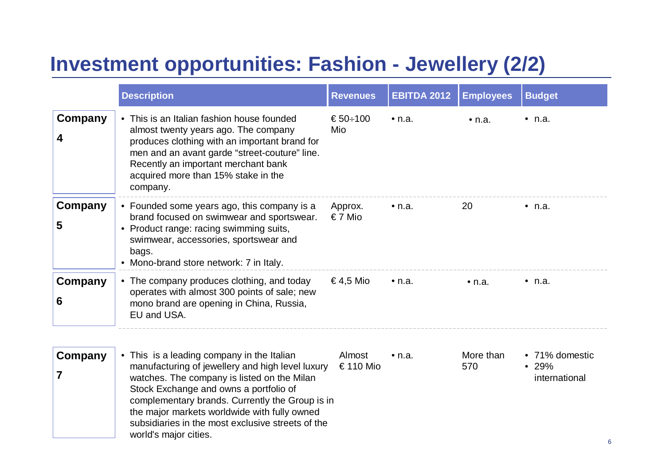### **Investment opportunities: Fashion - Jewellery (2/2)**

|              | <b>Description</b>                                                                                                                                                                                                                                                                                                                                                       | <b>Revenues</b>        | <b>EBITDA 2012</b> | <b>Employees</b> | <b>Budget</b>                            |
|--------------|--------------------------------------------------------------------------------------------------------------------------------------------------------------------------------------------------------------------------------------------------------------------------------------------------------------------------------------------------------------------------|------------------------|--------------------|------------------|------------------------------------------|
| Company<br>4 | • This is an Italian fashion house founded<br>almost twenty years ago. The company<br>produces clothing with an important brand for<br>men and an avant garde "street-couture" line.<br>Recently an important merchant bank<br>acquired more than 15% stake in the<br>company.                                                                                           | € $50 \div 100$<br>Mio | $\bullet$ n.a.     | $\bullet$ n.a.   | $\cdot$ n.a.                             |
| Company<br>5 | • Founded some years ago, this company is a<br>brand focused on swimwear and sportswear.<br>• Product range: racing swimming suits,<br>swimwear, accessories, sportswear and<br>bags.<br>• Mono-brand store network: 7 in Italy.                                                                                                                                         | Approx.<br>€7 Mio      | $\bullet$ n.a.     | 20               | $\bullet$ n.a.                           |
| Company<br>6 | • The company produces clothing, and today<br>operates with almost 300 points of sale; new<br>mono brand are opening in China, Russia,<br>EU and USA.                                                                                                                                                                                                                    | €4,5 Mio               | $\bullet$ n.a.     | $\bullet$ n.a.   | $\bullet$ n.a.                           |
| Company<br>7 | • This is a leading company in the Italian<br>manufacturing of jewellery and high level luxury<br>watches. The company is listed on the Milan<br>Stock Exchange and owns a portfolio of<br>complementary brands. Currently the Group is in<br>the major markets worldwide with fully owned<br>subsidiaries in the most exclusive streets of the<br>world's major cities. | Almost<br>€110 Mio     | $\bullet$ n.a.     | More than<br>570 | • 71% domestic<br>• 29%<br>international |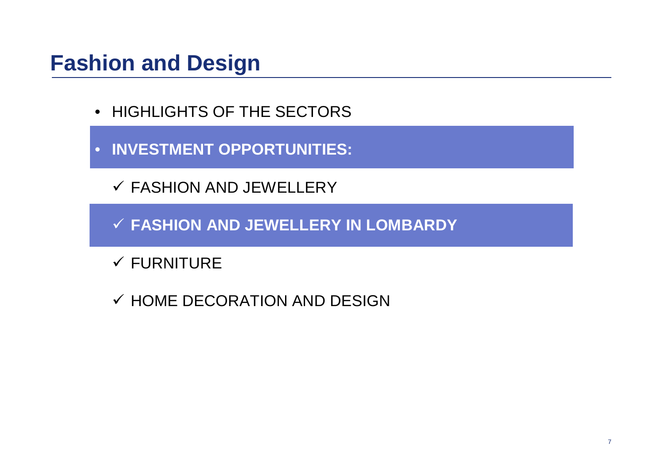- HIGHLIGHTS OF THE SECTORS
- **INVESTMENT OPPORTUNITIES:**
	- FASHION AND JEWELLERY
	- **FASHION AND JEWELLERY IN LOMBARDY**
	- $\checkmark$  FURNITURE
	- $\checkmark$  HOME DECORATION AND DESIGN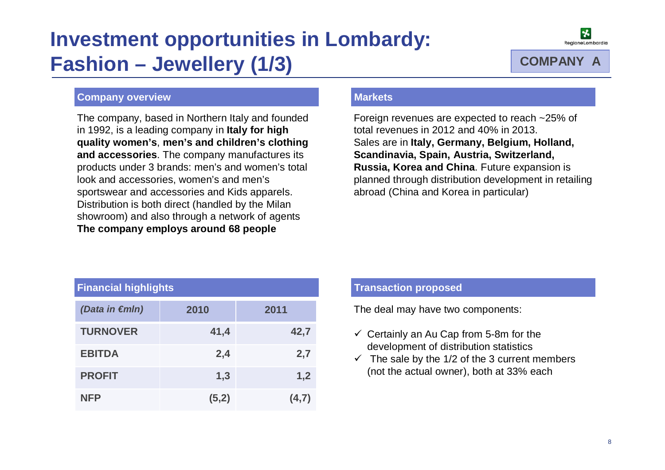# **Investment opportunities in Lombardy: Fashion – Jewellery (1/3) COMPANY A**



### **Company overview**

The company, based in Northern Italy and founded in 1992, is a leading company in **Italy for high quality women's**, **men's and children's clothing and accessories**. The company manufactures its products under 3 brands: men's and women's total look and accessories, women's and men's sportswear and accessories and Kids apparels. Distribution is both direct (handled by the Milan showroom) and also through a network of agents **The company employs around 68 people**

### **Markets**

Foreign revenues are expected to reach ~25% of total revenues in 2012 and 40% in 2013. Sales are in **Italy, Germany, Belgium, Holland, Scandinavia, Spain, Austria, Switzerland, Russia, Korea and China**. Future expansion is planned through distribution development in retailing abroad (China and Korea in particular)

| <b>Financial highlights</b> |       |       |  |  |  |
|-----------------------------|-------|-------|--|--|--|
| (Data in €mln)              | 2010  | 2011  |  |  |  |
| <b>TURNOVER</b>             | 41,4  | 42,7  |  |  |  |
| <b>EBITDA</b>               | 2,4   | 2,7   |  |  |  |
| <b>PROFIT</b>               | 1,3   | 1,2   |  |  |  |
| <b>NFP</b>                  | (5,2) | (4,7) |  |  |  |

#### **Financial highlights Transaction proposed**

The deal may have two components:

- $\checkmark$  Certainly an Au Cap from 5-8m for the development of distribution statistics
- $\checkmark$  The sale by the 1/2 of the 3 current members (not the actual owner), both at 33% each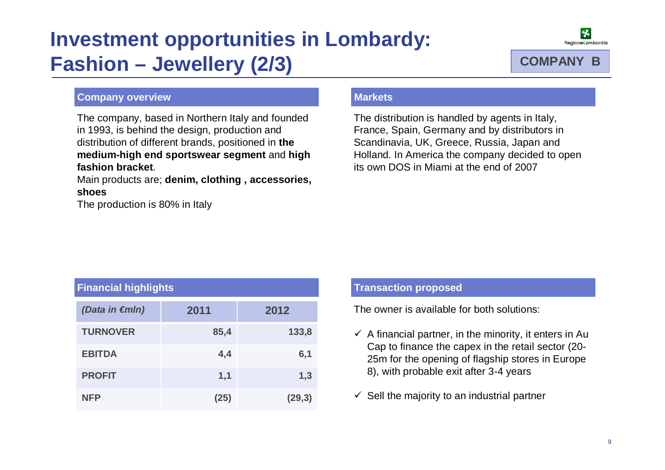# **Investment opportunities in Lombardy: Fashion – Jewellery (2/3)**



### **Company overview**

The company, based in Northern Italy and founded in 1993, is behind the design, production and distribution of different brands, positioned in **the medium-high end sportswear segment** and **high fashion bracket**.

Main products are; **denim, clothing , accessories, shoes** 

The production is 80% in Italy

### **Markets**

The distribution is handled by agents in Italy, France, Spain, Germany and by distributors in Scandinavia, UK, Greece, Russia, Japan and Holland. In America the company decided to open its own DOS in Miami at the end of 2007

| <b>Financial highlights</b> |      |         |  |  |
|-----------------------------|------|---------|--|--|
| (Data in €mln)              | 2011 | 2012    |  |  |
| <b>TURNOVER</b>             | 85,4 | 133,8   |  |  |
| <b>EBITDA</b>               | 4,4  | 6,1     |  |  |
| <b>PROFIT</b>               | 1,1  | 1,3     |  |  |
| <b>NFP</b>                  | (25) | (29, 3) |  |  |

#### **Financial highlights Transaction proposed**

The owner is available for both solutions:

- $\checkmark$  A financial partner, in the minority, it enters in Au Cap to finance the capex in the retail sector (20- 25m for the opening of flagship stores in Europe 8), with probable exit after 3-4 years
- $\checkmark$  Sell the majority to an industrial partner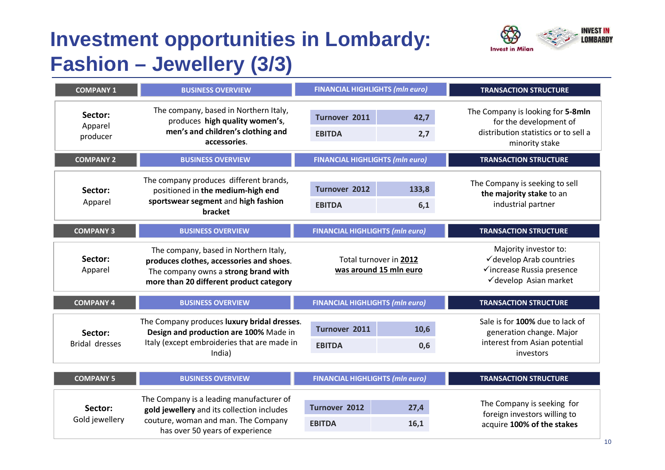# **Investment opportunities in Lombardy: Fashion – Jewellery (3/3)**



| <b>COMPANY 1</b>                 | <b>BUSINESS OVERVIEW</b>                                                                                                                                             | <b>FINANCIAL HIGHLIGHTS (mln euro)</b>                |                                                  | <b>TRANSACTION STRUCTURE</b>                                                                                          |  |
|----------------------------------|----------------------------------------------------------------------------------------------------------------------------------------------------------------------|-------------------------------------------------------|--------------------------------------------------|-----------------------------------------------------------------------------------------------------------------------|--|
| Sector:<br>Apparel<br>producer   | The company, based in Northern Italy,<br>produces high quality women's,<br>men's and children's clothing and<br>accessories.                                         | Turnover 2011<br>42,7<br><b>EBITDA</b><br>2,7         |                                                  | The Company is looking for 5-8mln<br>for the development of<br>distribution statistics or to sell a<br>minority stake |  |
| <b>COMPANY 2</b>                 | <b>BUSINESS OVERVIEW</b>                                                                                                                                             | <b>FINANCIAL HIGHLIGHTS (mln euro)</b>                |                                                  | <b>TRANSACTION STRUCTURE</b>                                                                                          |  |
| Sector:<br>Apparel               | The company produces different brands,<br>positioned in the medium-high end<br>sportswear segment and high fashion<br>bracket                                        | <b>Turnover 2012</b><br>133,8<br><b>EBITDA</b><br>6,1 |                                                  | The Company is seeking to sell<br>the majority stake to an<br>industrial partner                                      |  |
| <b>COMPANY 3</b>                 | <b>BUSINESS OVERVIEW</b>                                                                                                                                             | <b>FINANCIAL HIGHLIGHTS (mln euro)</b>                |                                                  | <b>TRANSACTION STRUCTURE</b>                                                                                          |  |
| Sector:<br>Apparel               | The company, based in Northern Italy,<br>produces clothes, accessories and shoes.<br>The company owns a strong brand with<br>more than 20 different product category |                                                       | Total turnover in 2012<br>was around 15 mln euro | Majority investor to:<br>√develop Arab countries<br>√increase Russia presence<br>√develop Asian market                |  |
| <b>COMPANY 4</b>                 | <b>BUSINESS OVERVIEW</b>                                                                                                                                             | <b>FINANCIAL HIGHLIGHTS (mln euro)</b>                |                                                  | <b>TRANSACTION STRUCTURE</b>                                                                                          |  |
| Sector:<br><b>Bridal dresses</b> | The Company produces luxury bridal dresses.<br>Design and production are 100% Made in<br>Italy (except embroideries that are made in<br>India)                       | Turnover 2011<br>10,6<br><b>EBITDA</b><br>0,6         |                                                  | Sale is for 100% due to lack of<br>generation change. Major<br>interest from Asian potential<br>investors             |  |
| <b>COMPANY 5</b>                 | <b>BUSINESS OVERVIEW</b>                                                                                                                                             | <b>FINANCIAL HIGHLIGHTS (mln euro)</b>                |                                                  | <b>TRANSACTION STRUCTURE</b>                                                                                          |  |
| Sector:<br>Gold jewellery        | The Company is a leading manufacturer of<br>gold jewellery and its collection includes<br>couture, woman and man. The Company<br>has over 50 years of experience     |                                                       | 27,4<br>16,1                                     | The Company is seeking for<br>foreign investors willing to<br>acquire 100% of the stakes                              |  |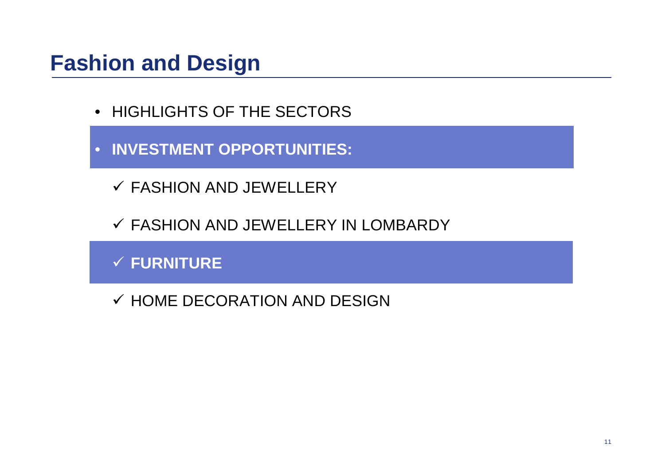- HIGHLIGHTS OF THE SECTORS
- **INVESTMENT OPPORTUNITIES:**
	- FASHION AND JEWELLERY
	- FASHION AND JEWELLERY IN LOMBARDY

**FURNITURE**

 $\checkmark$  HOME DECORATION AND DESIGN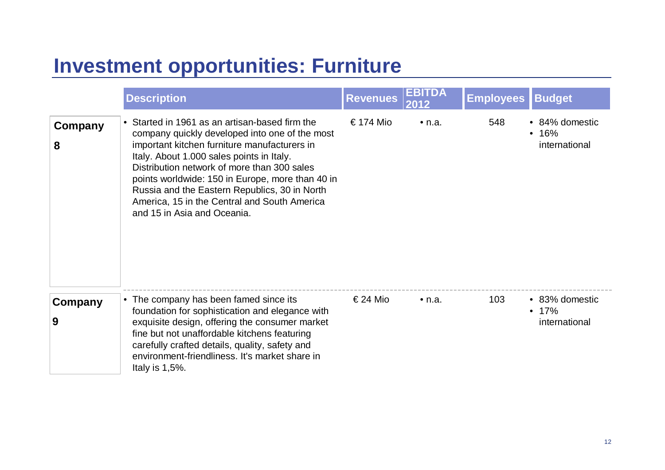### **Investment opportunities: Furniture**

|              | <b>Description</b>                                                                                                                                                                                                                                                                                                                                                                                                               | <b>Revenues</b> | <b>EBITDA</b><br>2012 | <b>Employees</b> | <b>Budget</b>                            |
|--------------|----------------------------------------------------------------------------------------------------------------------------------------------------------------------------------------------------------------------------------------------------------------------------------------------------------------------------------------------------------------------------------------------------------------------------------|-----------------|-----------------------|------------------|------------------------------------------|
| Company<br>8 | • Started in 1961 as an artisan-based firm the<br>company quickly developed into one of the most<br>important kitchen furniture manufacturers in<br>Italy. About 1.000 sales points in Italy.<br>Distribution network of more than 300 sales<br>points worldwide: 150 in Europe, more than 40 in<br>Russia and the Eastern Republics, 30 in North<br>America, 15 in the Central and South America<br>and 15 in Asia and Oceania. | € 174 Mio       | $\bullet$ n.a.        | 548              | • 84% domestic<br>• 16%<br>international |
| Company<br>9 | • The company has been famed since its<br>foundation for sophistication and elegance with<br>exquisite design, offering the consumer market<br>fine but not unaffordable kitchens featuring<br>carefully crafted details, quality, safety and<br>environment-friendliness. It's market share in<br>Italy is $1,5\%$ .                                                                                                            | € 24 Mio        | $\bullet$ n.a.        | 103              | • 83% domestic<br>• 17%<br>international |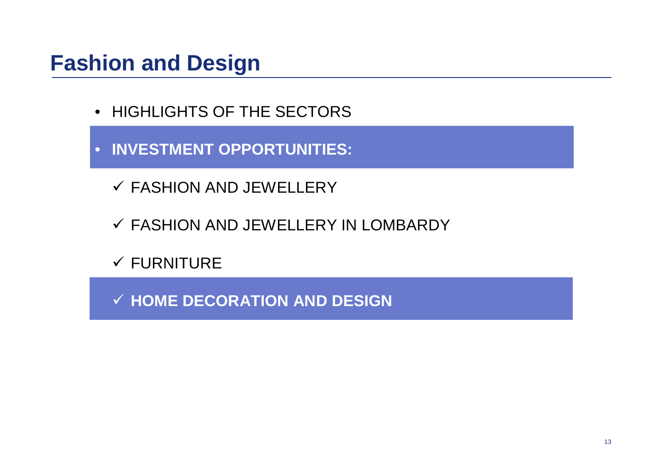- HIGHLIGHTS OF THE SECTORS
- **INVESTMENT OPPORTUNITIES:**
	- FASHION AND JEWELLERY
	- FASHION AND JEWELLERY IN LOMBARDY
	- $\checkmark$  FURNITURE

**HOME DECORATION AND DESIGN**